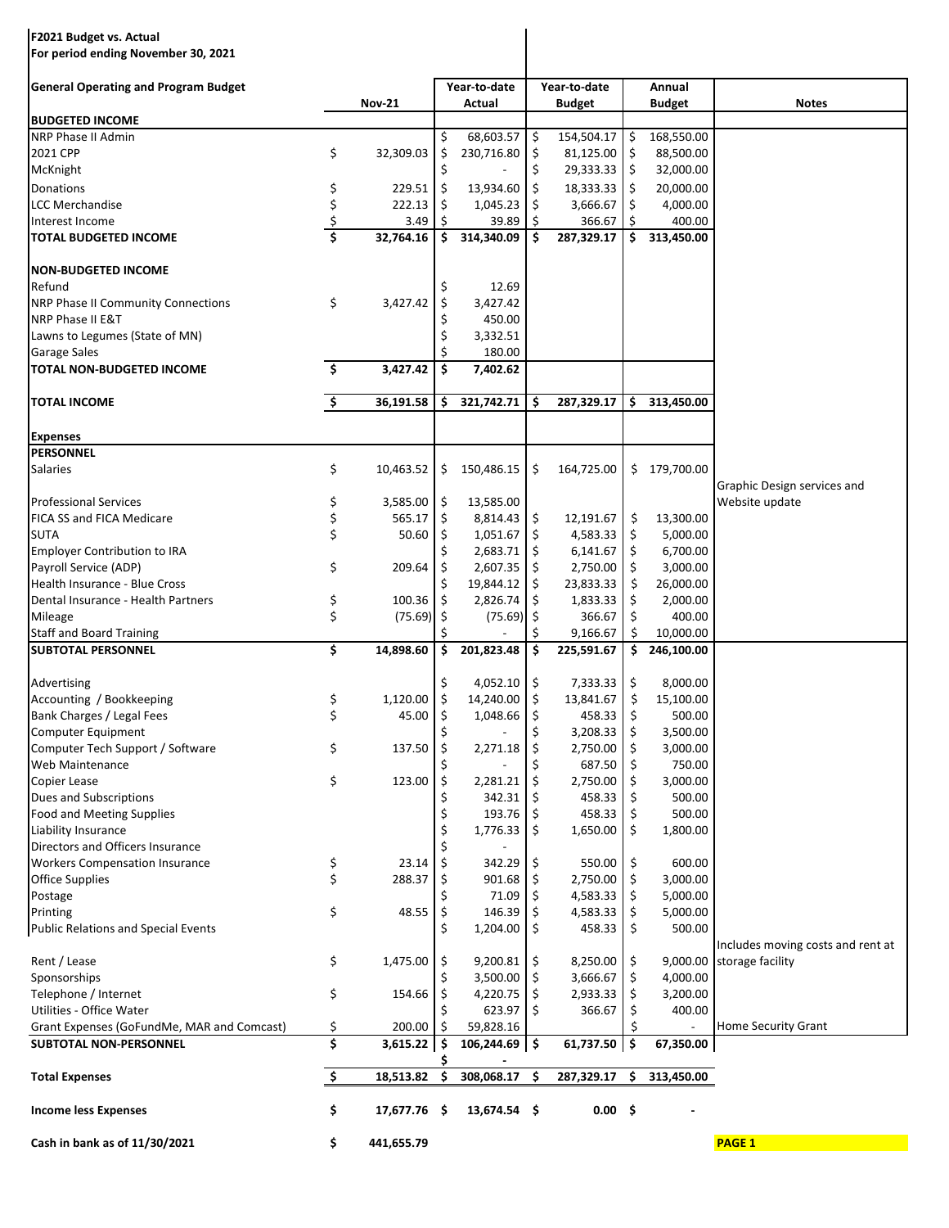## **F2021 Budget vs. Actual**

**For period ending November 30, 2021**

| <b>General Operating and Program Budget</b>      |    |               |         | Year-to-date       |    | Year-to-date  |                     | Annual        |                                   |
|--------------------------------------------------|----|---------------|---------|--------------------|----|---------------|---------------------|---------------|-----------------------------------|
|                                                  |    | <b>Nov-21</b> |         | Actual             |    | <b>Budget</b> |                     | <b>Budget</b> | <b>Notes</b>                      |
| <b>BUDGETED INCOME</b>                           |    |               |         |                    |    |               |                     |               |                                   |
| NRP Phase II Admin                               |    |               | \$      | 68,603.57          | \$ | 154,504.17    | $\ddot{\mathsf{S}}$ | 168,550.00    |                                   |
| 2021 CPP                                         | \$ | 32,309.03     | \$      | 230,716.80         | \$ | 81,125.00     | \$                  | 88,500.00     |                                   |
| McKnight                                         |    |               | Ś       |                    | \$ | 29,333.33     | -\$                 | 32,000.00     |                                   |
| Donations                                        | \$ | 229.51        | \$      | 13,934.60          | \$ | 18,333.33     | \$                  | 20,000.00     |                                   |
| LCC Merchandise                                  | \$ | 222.13        | \$      | 1,045.23           | \$ | 3,666.67      | \$                  | 4,000.00      |                                   |
| Interest Income                                  | \$ | 3.49          | \$      | 39.89              | Ś  | 366.67        | Ŝ.                  | 400.00        |                                   |
| <b>TOTAL BUDGETED INCOME</b>                     | Ś  | 32,764.16     | \$.     | 314,340.09         | \$ | 287,329.17    | \$.                 | 313,450.00    |                                   |
| <b>NON-BUDGETED INCOME</b>                       |    |               |         |                    |    |               |                     |               |                                   |
| Refund                                           |    |               | \$      | 12.69              |    |               |                     |               |                                   |
| <b>NRP Phase II Community Connections</b>        | \$ | 3,427.42      | \$      | 3,427.42           |    |               |                     |               |                                   |
| NRP Phase II E&T                                 |    |               | Ś       | 450.00             |    |               |                     |               |                                   |
| Lawns to Legumes (State of MN)                   |    |               |         | 3,332.51           |    |               |                     |               |                                   |
| <b>Garage Sales</b><br>TOTAL NON-BUDGETED INCOME | \$ | 3,427.42      | Ś<br>\$ | 180.00<br>7,402.62 |    |               |                     |               |                                   |
|                                                  |    |               |         |                    |    |               |                     |               |                                   |
| <b>TOTAL INCOME</b>                              | \$ | 36,191.58     | \$      | 321,742.71         | \$ | 287,329.17    | \$.                 | 313,450.00    |                                   |
| <b>Expenses</b>                                  |    |               |         |                    |    |               |                     |               |                                   |
| <b>PERSONNEL</b>                                 |    |               |         |                    |    |               |                     |               |                                   |
| <b>Salaries</b>                                  | \$ | 10,463.52     | \$      | 150,486.15         | \$ | 164,725.00    | \$                  | 179,700.00    | Graphic Design services and       |
| <b>Professional Services</b>                     | \$ | 3,585.00      | \$      | 13,585.00          |    |               |                     |               | Website update                    |
| FICA SS and FICA Medicare                        | \$ | 565.17        | \$      | 8,814.43           | \$ | 12,191.67     | \$                  | 13,300.00     |                                   |
| <b>SUTA</b>                                      | \$ | 50.60         | \$      | 1,051.67           | \$ | 4,583.33      | \$                  | 5,000.00      |                                   |
| Employer Contribution to IRA                     |    |               |         | 2,683.71           | \$ | 6,141.67      | \$                  | 6,700.00      |                                   |
| Payroll Service (ADP)                            | \$ | 209.64        | \$      | 2,607.35           | \$ | 2,750.00      | \$                  | 3,000.00      |                                   |
| Health Insurance - Blue Cross                    |    |               | \$      | 19,844.12          | \$ | 23,833.33     | \$                  | 26,000.00     |                                   |
| Dental Insurance - Health Partners               | \$ | 100.36        | \$      | 2,826.74           | \$ | 1,833.33      | \$                  | 2,000.00      |                                   |
| Mileage                                          | \$ | (75.69)       | \$      | (75.69)            | \$ | 366.67        | \$                  | 400.00        |                                   |
| <b>Staff and Board Training</b>                  |    |               |         |                    |    | 9,166.67      | \$                  | 10,000.00     |                                   |
| <b>SUBTOTAL PERSONNEL</b>                        | \$ | 14,898.60     | \$      | 201,823.48         | \$ | 225,591.67    | \$                  | 246,100.00    |                                   |
|                                                  |    |               |         |                    |    |               |                     |               |                                   |
| Advertising                                      |    |               | \$      | 4,052.10           | \$ | 7,333.33      | \$                  | 8,000.00      |                                   |
| Accounting / Bookkeeping                         | \$ | 1,120.00      | \$      | 14,240.00          | \$ | 13,841.67     | \$                  | 15,100.00     |                                   |
| Bank Charges / Legal Fees                        | \$ | 45.00         | \$      | 1,048.66           | \$ | 458.33        | \$                  | 500.00        |                                   |
| Computer Equipment                               |    |               |         |                    | \$ | 3,208.33      | \$                  | 3,500.00      |                                   |
| Computer Tech Support / Software                 | \$ | 137.50        | \$      | 2,271.18           | \$ | 2,750.00      | \$                  | 3,000.00      |                                   |
| Web Maintenance                                  |    |               | \$      |                    | \$ | 687.50        | \$                  | 750.00        |                                   |
| Copier Lease                                     | \$ | 123.00        | \$      | 2,281.21           | \$ | 2,750.00      | \$                  | 3,000.00      |                                   |
| Dues and Subscriptions                           |    |               |         | 342.31             | \$ | 458.33        | \$                  | 500.00        |                                   |
| <b>Food and Meeting Supplies</b>                 |    |               | Ś       | 193.76             | \$ | 458.33        | Ŝ.                  | 500.00        |                                   |
| Liability Insurance                              |    |               |         | 1,776.33           | \$ | 1,650.00      | \$                  | 1,800.00      |                                   |
| Directors and Officers Insurance                 |    |               |         |                    |    |               |                     |               |                                   |
| <b>Workers Compensation Insurance</b>            | \$ | 23.14         | \$      | 342.29             | \$ | 550.00        | \$                  | 600.00        |                                   |
| <b>Office Supplies</b>                           | \$ | 288.37        |         | 901.68             | \$ | 2,750.00      | \$                  | 3,000.00      |                                   |
| Postage                                          |    |               |         | 71.09              | \$ | 4,583.33      | \$                  | 5,000.00      |                                   |
| Printing                                         | \$ | 48.55         | \$      | 146.39             | \$ | 4,583.33      | \$                  | 5,000.00      |                                   |
| <b>Public Relations and Special Events</b>       |    |               | \$      | 1,204.00           | \$ | 458.33        | \$                  | 500.00        | Includes moving costs and rent at |
| Rent / Lease                                     | \$ | 1,475.00      | -\$     | 9,200.81           | \$ | 8,250.00      | \$                  | 9,000.00      | storage facility                  |
| Sponsorships                                     |    |               |         | 3,500.00           | \$ | 3,666.67      | \$                  | 4,000.00      |                                   |
| Telephone / Internet                             | \$ | 154.66        | -\$     | 4,220.75           | \$ | 2,933.33      | \$                  | 3,200.00      |                                   |
| Utilities - Office Water                         |    |               |         | 623.97             | \$ | 366.67        | \$                  | 400.00        |                                   |
| Grant Expenses (GoFundMe, MAR and Comcast)       | \$ | 200.00        | -\$     | 59,828.16          |    |               | Ŝ                   |               | Home Security Grant               |
| <b>SUBTOTAL NON-PERSONNEL</b>                    | \$ | $3,615.22$ \$ |         | 106,244.69 \$      |    | 61,737.50 \$  |                     | 67,350.00     |                                   |
| <b>Total Expenses</b>                            | \$ | 18,513.82     | \$      | 308,068.17         | \$ | 287,329.17    | \$                  | 313,450.00    |                                   |
| <b>Income less Expenses</b>                      | \$ | 17,677.76 \$  |         | 13,674.54 \$       |    | 0.00%         |                     |               |                                   |
| Cash in bank as of 11/30/2021                    | \$ | 441,655.79    |         |                    |    |               |                     |               | <b>PAGE 1</b>                     |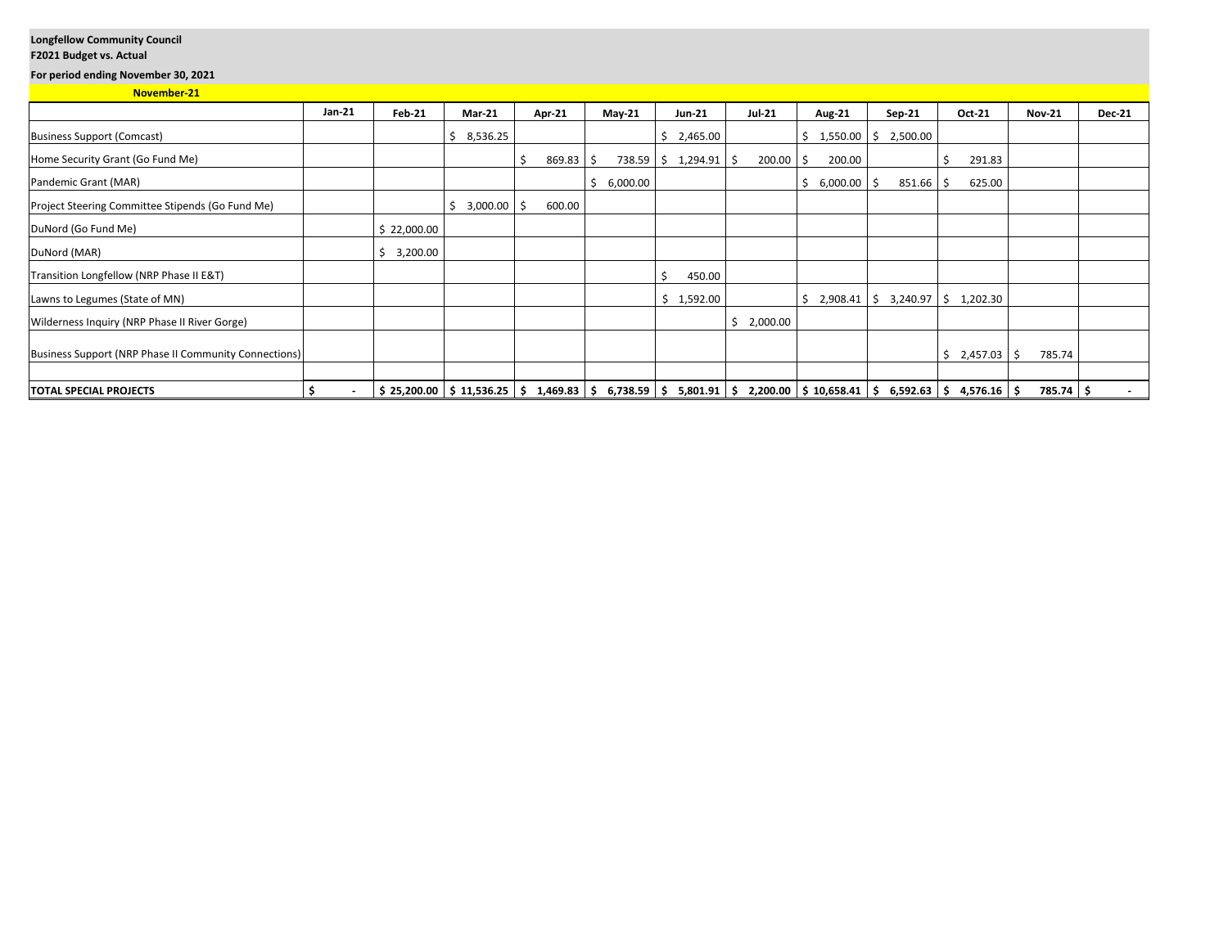## **Longfellow Community Council**

## **F2021 Budget vs. Actual**

**For period ending November 30, 2021**

| November-21 |  |
|-------------|--|
|             |  |

|                                                       | Jan-21 | Feb-21         | <b>Mar-21</b>  | <b>Apr-21</b> | $May-21$       | $Jun-21$                     | <b>Jul-21</b> | <b>Aug-21</b>                                                                                                      | Sep-21                                           | Oct-21        | <b>Nov-21</b> | <b>Dec-21</b> |
|-------------------------------------------------------|--------|----------------|----------------|---------------|----------------|------------------------------|---------------|--------------------------------------------------------------------------------------------------------------------|--------------------------------------------------|---------------|---------------|---------------|
| <b>Business Support (Comcast)</b>                     |        |                | 8,536.25<br>Ś  |               |                | 2,465.00<br>Ŝ.               |               | $1,550.00$ \$<br>Ŝ                                                                                                 | 2,500.00                                         |               |               |               |
| Home Security Grant (Go Fund Me)                      |        |                |                | 869.83        | -S             | $738.59$ $\binom{294.91}{5}$ | $200.00$ \$   | 200.00                                                                                                             |                                                  | 291.83        |               |               |
| Pandemic Grant (MAR)                                  |        |                |                |               | Ŝ.<br>6,000.00 |                              |               | 6,000.00<br>Ŝ                                                                                                      | 851.66<br>-S                                     | Ŝ<br>625.00   |               |               |
| Project Steering Committee Stipends (Go Fund Me)      |        |                | 3,000.00<br>Ŝ. | 600.00<br>-Ś  |                |                              |               |                                                                                                                    |                                                  |               |               |               |
| DuNord (Go Fund Me)                                   |        | \$22,000.00    |                |               |                |                              |               |                                                                                                                    |                                                  |               |               |               |
| DuNord (MAR)                                          |        | 3,200.00<br>Ŝ. |                |               |                |                              |               |                                                                                                                    |                                                  |               |               |               |
| Transition Longfellow (NRP Phase II E&T)              |        |                |                |               |                | \$<br>450.00                 |               |                                                                                                                    |                                                  |               |               |               |
| Lawns to Legumes (State of MN)                        |        |                |                |               |                | \$1,592.00                   |               | Ś                                                                                                                  | $2,908.41 \mid \xi$ 3,240.97 $\mid \xi$ 1,202.30 |               |               |               |
| Wilderness Inquiry (NRP Phase II River Gorge)         |        |                |                |               |                |                              | 2,000.00      |                                                                                                                    |                                                  |               |               |               |
| Business Support (NRP Phase II Community Connections) |        |                |                |               |                |                              |               |                                                                                                                    |                                                  | $2,457.03$ \$ | 785.74        |               |
| <b>TOTAL SPECIAL PROJECTS</b>                         | S      |                |                |               |                |                              |               | $$25,200.00$ $$11,536.25$ $$1,469.83$ $$6,738.59$ $$5,801.91$ $$2,200.00$ $$10,658.41$ $$6,592.63$ $$4,576.16$ $$$ |                                                  |               | 785.74 \$     | $\sim$        |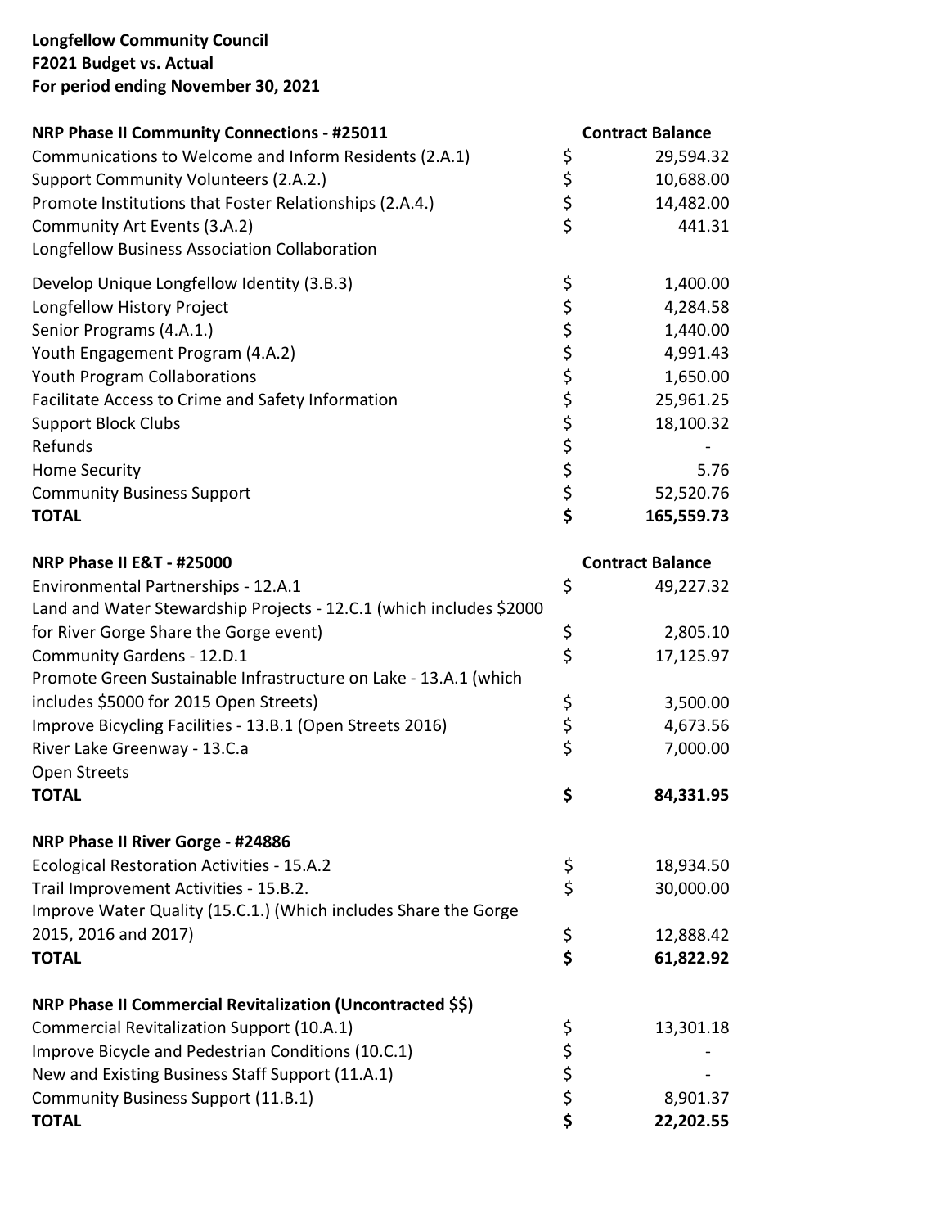## **Longfellow Community Council F2021 Budget vs. Actual For period ending November 30, 2021**

| <b>NRP Phase II Community Connections - #25011</b>                  | <b>Contract Balance</b> |
|---------------------------------------------------------------------|-------------------------|
| Communications to Welcome and Inform Residents (2.A.1)              | \$<br>29,594.32         |
| Support Community Volunteers (2.A.2.)                               | \$<br>10,688.00         |
| Promote Institutions that Foster Relationships (2.A.4.)             | \$<br>14,482.00         |
| Community Art Events (3.A.2)                                        | \$<br>441.31            |
| Longfellow Business Association Collaboration                       |                         |
| Develop Unique Longfellow Identity (3.B.3)                          | \$<br>1,400.00          |
| Longfellow History Project                                          | \$<br>4,284.58          |
| Senior Programs (4.A.1.)                                            | \$<br>1,440.00          |
| Youth Engagement Program (4.A.2)                                    | \$<br>4,991.43          |
| <b>Youth Program Collaborations</b>                                 | \$<br>1,650.00          |
| Facilitate Access to Crime and Safety Information                   | \$<br>25,961.25         |
| <b>Support Block Clubs</b>                                          | \$<br>18,100.32         |
| Refunds                                                             | \$                      |
| <b>Home Security</b>                                                | \$<br>5.76              |
| <b>Community Business Support</b>                                   | \$<br>52,520.76         |
| <b>TOTAL</b>                                                        | \$<br>165,559.73        |
| <b>NRP Phase II E&amp;T - #25000</b>                                | <b>Contract Balance</b> |
| Environmental Partnerships - 12.A.1                                 | \$<br>49,227.32         |
| Land and Water Stewardship Projects - 12.C.1 (which includes \$2000 |                         |
| for River Gorge Share the Gorge event)                              | \$<br>2,805.10          |
| Community Gardens - 12.D.1                                          | \$<br>17,125.97         |
| Promote Green Sustainable Infrastructure on Lake - 13.A.1 (which    |                         |
| includes \$5000 for 2015 Open Streets)                              | \$<br>3,500.00          |
| Improve Bicycling Facilities - 13.B.1 (Open Streets 2016)           | \$<br>4,673.56          |
| River Lake Greenway - 13.C.a                                        | \$<br>7,000.00          |
| Open Streets                                                        |                         |
| <b>TOTAL</b>                                                        | \$<br>84,331.95         |
| NRP Phase II River Gorge - #24886                                   |                         |
| <b>Ecological Restoration Activities - 15.A.2</b>                   | \$<br>18,934.50         |
| Trail Improvement Activities - 15.B.2.                              | \$<br>30,000.00         |
| Improve Water Quality (15.C.1.) (Which includes Share the Gorge     |                         |
| 2015, 2016 and 2017)                                                | \$<br>12,888.42         |
| <b>TOTAL</b>                                                        | \$<br>61,822.92         |
|                                                                     |                         |
| NRP Phase II Commercial Revitalization (Uncontracted \$\$)          |                         |
| Commercial Revitalization Support (10.A.1)                          | \$<br>13,301.18         |
| Improve Bicycle and Pedestrian Conditions (10.C.1)                  | \$                      |
| New and Existing Business Staff Support (11.A.1)                    | \$                      |
| Community Business Support (11.B.1)                                 | \$<br>8,901.37          |
| <b>TOTAL</b>                                                        | \$<br>22,202.55         |